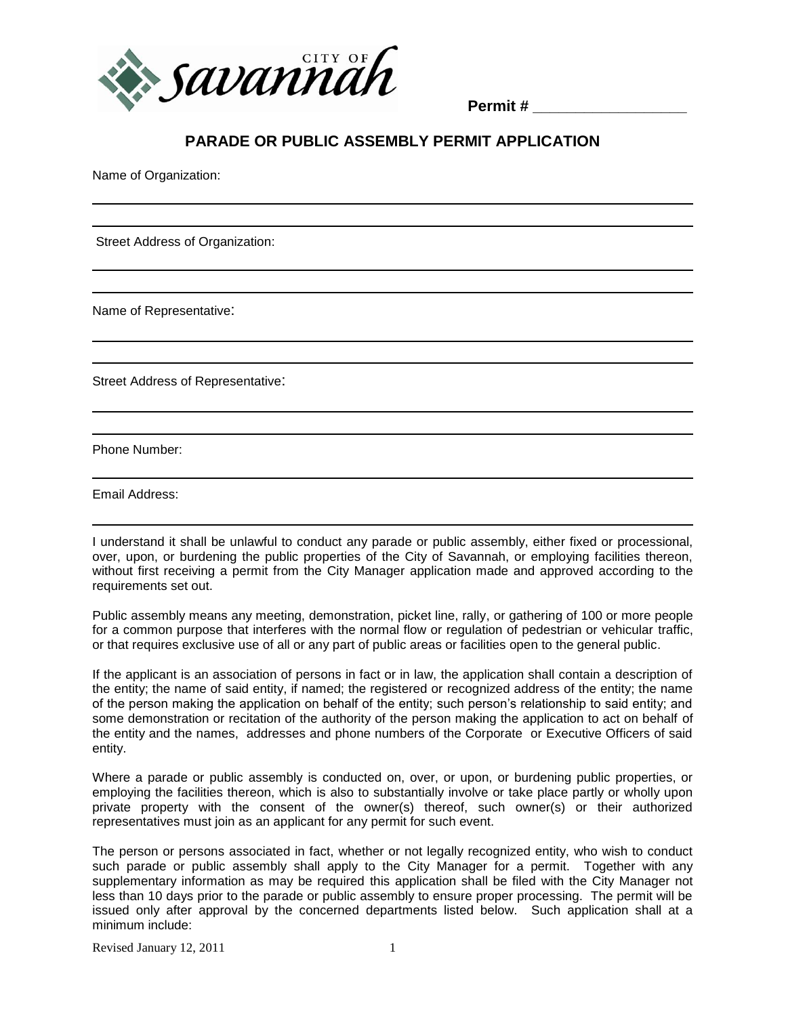

**Permit # \_\_\_\_\_\_\_\_\_\_\_\_\_\_\_\_\_\_** 

## **PARADE OR PUBLIC ASSEMBLY PERMIT APPLICATION**

Name of Organization:

Street Address of Organization:

Name of Representative:

Street Address of Representative:

Phone Number:

Email Address:

I understand it shall be unlawful to conduct any parade or public assembly, either fixed or processional, over, upon, or burdening the public properties of the City of Savannah, or employing facilities thereon, without first receiving a permit from the City Manager application made and approved according to the requirements set out.

Public assembly means any meeting, demonstration, picket line, rally, or gathering of 100 or more people for a common purpose that interferes with the normal flow or regulation of pedestrian or vehicular traffic, or that requires exclusive use of all or any part of public areas or facilities open to the general public.

If the applicant is an association of persons in fact or in law, the application shall contain a description of the entity; the name of said entity, if named; the registered or recognized address of the entity; the name of the person making the application on behalf of the entity; such person's relationship to said entity; and some demonstration or recitation of the authority of the person making the application to act on behalf of the entity and the names, addresses and phone numbers of the Corporate or Executive Officers of said entity.

Where a parade or public assembly is conducted on, over, or upon, or burdening public properties, or employing the facilities thereon, which is also to substantially involve or take place partly or wholly upon private property with the consent of the owner(s) thereof, such owner(s) or their authorized representatives must join as an applicant for any permit for such event.

The person or persons associated in fact, whether or not legally recognized entity, who wish to conduct such parade or public assembly shall apply to the City Manager for a permit. Together with any supplementary information as may be required this application shall be filed with the City Manager not less than 10 days prior to the parade or public assembly to ensure proper processing. The permit will be issued only after approval by the concerned departments listed below. Such application shall at a minimum include:

Revised January  $12, 2011$  1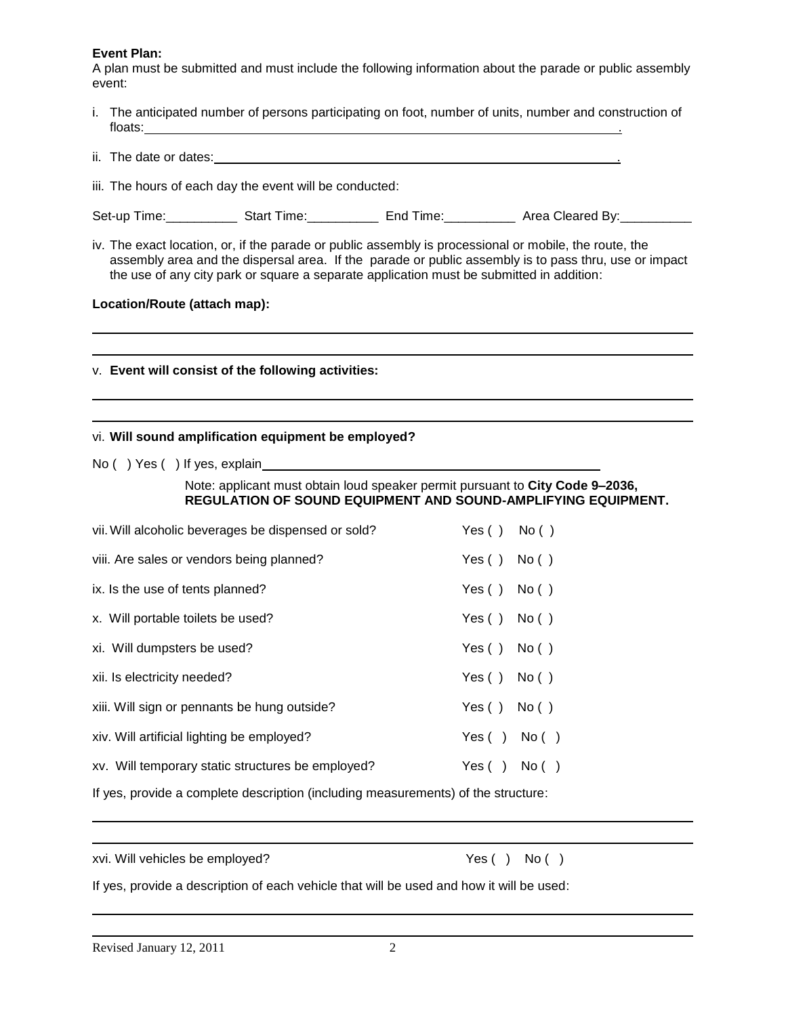#### **Event Plan:**

A plan must be submitted and must include the following information about the parade or public assembly event:

| i. The anticipated number of persons participating on foot, number of units, number and construction of |  |
|---------------------------------------------------------------------------------------------------------|--|
| floats:                                                                                                 |  |

| ii. The date or dates: |  |
|------------------------|--|
|                        |  |

Set-up Time:\_\_\_\_\_\_\_\_\_\_\_\_\_\_ Start Time:\_\_\_\_\_\_\_\_\_\_\_\_\_ End Time:\_\_\_\_\_\_\_\_\_\_\_\_\_ Area Cleared By:\_\_\_\_\_\_\_\_\_

iv. The exact location, or, if the parade or public assembly is processional or mobile, the route, the assembly area and the dispersal area. If the parade or public assembly is to pass thru, use or impact the use of any city park or square a separate application must be submitted in addition:

### **Location/Route (attach map):**

#### v. **Event will consist of the following activities:**

iii. The hours of each day the event will be conducted:

#### vi. **Will sound amplification equipment be employed?**

No ( ) Yes ( ) If yes, explain

Note: applicant must obtain loud speaker permit pursuant to **City Code 9–2036, REGULATION OF SOUND EQUIPMENT AND SOUND-AMPLIFYING EQUIPMENT.**

| vii. Will alcoholic beverages be dispensed or sold? | Yes() No()         |  |
|-----------------------------------------------------|--------------------|--|
| viii. Are sales or vendors being planned?           | Yes $()$ No $()$   |  |
| ix. Is the use of tents planned?                    | Yes() No()         |  |
| x. Will portable toilets be used?                   | Yes() No()         |  |
| xi. Will dumpsters be used?                         | Yes() No()         |  |
| xii. Is electricity needed?                         | Yes $()$ No $()$   |  |
| xiii. Will sign or pennants be hung outside?        | Yes $()$ No $()$   |  |
| xiv. Will artificial lighting be employed?          | Yes $( )$ No $( )$ |  |
| xv. Will temporary static structures be employed?   | Yes $( )$ No $( )$ |  |

If yes, provide a complete description (including measurements) of the structure:

xvi. Will vehicles be employed? Yes ( ) No ( )

If yes, provide a description of each vehicle that will be used and how it will be used: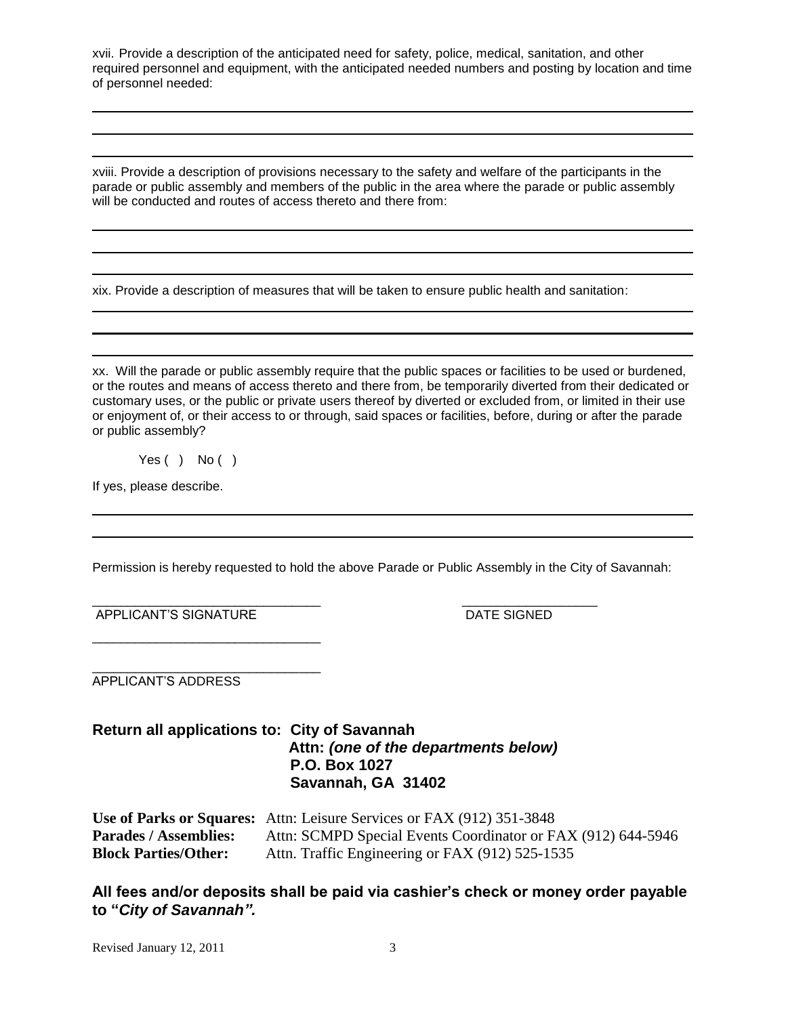xvii. Provide a description of the anticipated need for safety, police, medical, sanitation, and other required personnel and equipment, with the anticipated needed numbers and posting by location and time of personnel needed:

xviii. Provide a description of provisions necessary to the safety and welfare of the participants in the parade or public assembly and members of the public in the area where the parade or public assembly will be conducted and routes of access thereto and there from:

xix. Provide a description of measures that will be taken to ensure public health and sanitation:

xx. Will the parade or public assembly require that the public spaces or facilities to be used or burdened, or the routes and means of access thereto and there from, be temporarily diverted from their dedicated or customary uses, or the public or private users thereof by diverted or excluded from, or limited in their use or enjoyment of, or their access to or through, said spaces or facilities, before, during or after the parade or public assembly?

Yes  $( )$  No  $( )$ 

If yes, please describe.

Permission is hereby requested to hold the above Parade or Public Assembly in the City of Savannah:

\_\_\_\_\_\_\_\_\_\_\_\_\_\_\_\_\_\_\_\_\_\_\_\_\_\_\_\_\_\_\_\_ \_\_\_\_\_\_\_\_\_\_\_\_\_\_\_\_\_\_\_ APPLICANT'S SIGNATURE DATE SIGNED

\_\_\_\_\_\_\_\_\_\_\_\_\_\_\_\_\_\_\_\_\_\_\_\_\_\_\_\_\_\_\_\_

\_\_\_\_\_\_\_\_\_\_\_\_\_\_\_\_\_\_\_\_\_\_\_\_\_\_\_\_\_\_\_\_ APPLICANT'S ADDRESS

## **Return all applications to: City of Savannah Attn:** *(one of the departments below)*  **P.O. Box 1027 Savannah, GA 31402**

**Use of Parks or Squares:** Attn: Leisure Services or FAX (912) 351-3848 **Parades / Assemblies:** Attn: SCMPD Special Events Coordinator or FAX (912) 644-5946 **Block Parties/Other:** Attn. Traffic Engineering or FAX (912) 525-1535

**All fees and/or deposits shall be paid via cashier's check or money order payable to "***City of Savannah".*